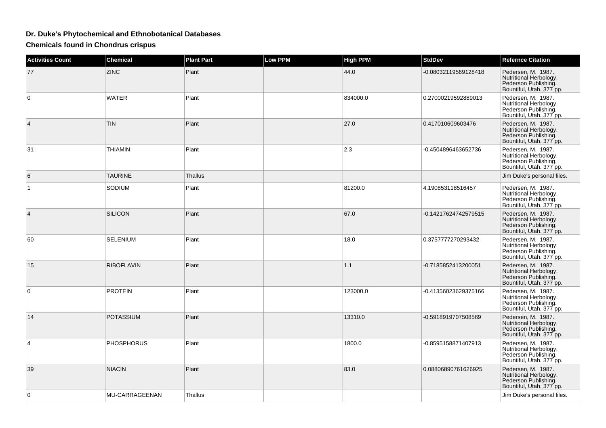## **Dr. Duke's Phytochemical and Ethnobotanical Databases**

**Chemicals found in Chondrus crispus**

| <b>Activities Count</b> | <b>Chemical</b>   | <b>Plant Part</b> | <b>Low PPM</b> | <b>High PPM</b> | <b>StdDev</b>        | <b>Refernce Citation</b>                                                                         |
|-------------------------|-------------------|-------------------|----------------|-----------------|----------------------|--------------------------------------------------------------------------------------------------|
| 77                      | <b>ZINC</b>       | Plant             |                | 44.0            | -0.08032119569128418 | Pedersen, M. 1987.<br>Nutritional Herbology.<br>Pederson Publishing.<br>Bountiful, Utah. 377 pp. |
| 0                       | <b>WATER</b>      | Plant             |                | 834000.0        | 0.27000219592889013  | Pedersen, M. 1987.<br>Nutritional Herbology.<br>Pederson Publishing.<br>Bountiful, Utah. 377 pp. |
| 4                       | <b>TIN</b>        | Plant             |                | 27.0            | 0.417010609603476    | Pedersen, M. 1987.<br>Nutritional Herbology.<br>Pederson Publishing.<br>Bountiful, Utah. 377 pp. |
| 31                      | <b>THIAMIN</b>    | Plant             |                | 2.3             | -0.4504896463652736  | Pedersen, M. 1987.<br>Nutritional Herbology.<br>Pederson Publishing.<br>Bountiful, Utah. 377 pp. |
| 6                       | <b>TAURINE</b>    | Thallus           |                |                 |                      | Jim Duke's personal files.                                                                       |
| 1                       | SODIUM            | Plant             |                | 81200.0         | 4.190853118516457    | Pedersen, M. 1987.<br>Nutritional Herbology.<br>Pederson Publishing.<br>Bountiful, Utah. 377 pp. |
| 4                       | <b>SILICON</b>    | Plant             |                | 67.0            | -0.14217624742579515 | Pedersen, M. 1987.<br>Nutritional Herbology.<br>Pederson Publishing.<br>Bountiful, Utah. 377 pp. |
| 60                      | <b>SELENIUM</b>   | Plant             |                | 18.0            | 0.3757777270293432   | Pedersen, M. 1987.<br>Nutritional Herbology.<br>Pederson Publishing.<br>Bountiful, Utah. 377 pp. |
| 15                      | <b>RIBOFLAVIN</b> | Plant             |                | 1.1             | -0.7185852413200051  | Pedersen, M. 1987.<br>Nutritional Herbology.<br>Pederson Publishing.<br>Bountiful, Utah. 377 pp. |
| $\mathbf 0$             | <b>PROTEIN</b>    | Plant             |                | 123000.0        | -0.41356023629375166 | Pedersen, M. 1987.<br>Nutritional Herbology.<br>Pederson Publishing.<br>Bountiful, Utah. 377 pp. |
| 14                      | <b>POTASSIUM</b>  | Plant             |                | 13310.0         | -0.5918919707508569  | Pedersen, M. 1987.<br>Nutritional Herbology.<br>Pederson Publishing.<br>Bountiful, Utah. 377 pp. |
| 4                       | <b>PHOSPHORUS</b> | Plant             |                | 1800.0          | -0.8595158871407913  | Pedersen, M. 1987.<br>Nutritional Herbology.<br>Pederson Publishing.<br>Bountiful, Utah. 377 pp. |
| 39                      | <b>NIACIN</b>     | Plant             |                | 83.0            | 0.08806890761626925  | Pedersen, M. 1987.<br>Nutritional Herbology.<br>Pederson Publishing.<br>Bountiful, Utah. 377 pp. |
| 0                       | MU-CARRAGEENAN    | Thallus           |                |                 |                      | Jim Duke's personal files.                                                                       |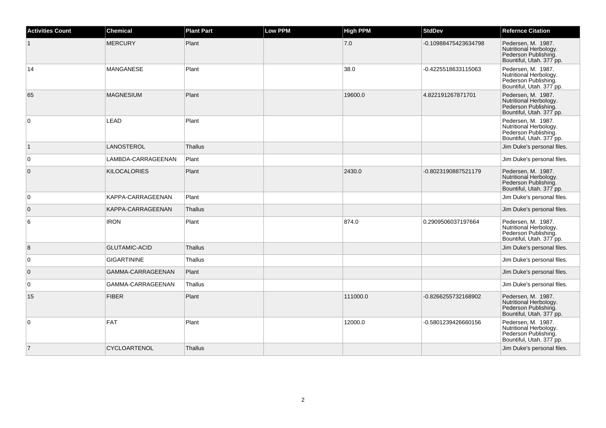| <b>Activities Count</b> | <b>Chemical</b>      | <b>Plant Part</b> | <b>Low PPM</b> | High PPM | <b>StdDev</b>        | <b>Refernce Citation</b>                                                                         |
|-------------------------|----------------------|-------------------|----------------|----------|----------------------|--------------------------------------------------------------------------------------------------|
|                         | <b>MERCURY</b>       | Plant             |                | 7.0      | -0.10988475423634798 | Pedersen, M. 1987.<br>Nutritional Herbology.<br>Pederson Publishing.<br>Bountiful, Utah. 377 pp. |
| 14                      | <b>MANGANESE</b>     | Plant             |                | 38.0     | -0.4225518633115063  | Pedersen, M. 1987.<br>Nutritional Herbology.<br>Pederson Publishing.<br>Bountiful, Utah. 377 pp. |
| 65                      | <b>MAGNESIUM</b>     | Plant             |                | 19600.0  | 4.822191267871701    | Pedersen, M. 1987.<br>Nutritional Herbology.<br>Pederson Publishing.<br>Bountiful, Utah. 377 pp. |
| $\overline{0}$          | LEAD                 | Plant             |                |          |                      | Pedersen, M. 1987.<br>Nutritional Herbology.<br>Pederson Publishing.<br>Bountiful, Utah. 377 pp. |
| $\vert$ 1               | LANOSTEROL           | <b>Thallus</b>    |                |          |                      | Jim Duke's personal files.                                                                       |
| 0                       | LAMBDA-CARRAGEENAN   | Plant             |                |          |                      | Jim Duke's personal files.                                                                       |
| $\overline{0}$          | <b>KILOCALORIES</b>  | Plant             |                | 2430.0   | -0.8023190887521179  | Pedersen, M. 1987.<br>Nutritional Herbology.<br>Pederson Publishing.<br>Bountiful, Utah. 377 pp. |
| $\overline{0}$          | KAPPA-CARRAGEENAN    | Plant             |                |          |                      | Jim Duke's personal files.                                                                       |
| $\overline{0}$          | KAPPA-CARRAGEENAN    | Thallus           |                |          |                      | Jim Duke's personal files.                                                                       |
| 6                       | <b>IRON</b>          | Plant             |                | 874.0    | 0.2909506037197664   | Pedersen, M. 1987.<br>Nutritional Herbology.<br>Pederson Publishing.<br>Bountiful, Utah. 377 pp. |
| 8                       | <b>GLUTAMIC-ACID</b> | Thallus           |                |          |                      | Jim Duke's personal files.                                                                       |
| $\overline{0}$          | <b>GIGARTININE</b>   | Thallus           |                |          |                      | Jim Duke's personal files.                                                                       |
| $\overline{0}$          | GAMMA-CARRAGEENAN    | Plant             |                |          |                      | Jim Duke's personal files.                                                                       |
| $\overline{0}$          | GAMMA-CARRAGEENAN    | Thallus           |                |          |                      | Jim Duke's personal files.                                                                       |
| 15                      | <b>FIBER</b>         | Plant             |                | 111000.0 | -0.8266255732168902  | Pedersen, M. 1987.<br>Nutritional Herbology.<br>Pederson Publishing.<br>Bountiful, Utah. 377 pp. |
| $\overline{0}$          | FAT                  | Plant             |                | 12000.0  | -0.5801239426660156  | Pedersen, M. 1987.<br>Nutritional Herbology.<br>Pederson Publishing.<br>Bountiful, Utah. 377 pp. |
| $\overline{7}$          | <b>CYCLOARTENOL</b>  | <b>Thallus</b>    |                |          |                      | Jim Duke's personal files.                                                                       |